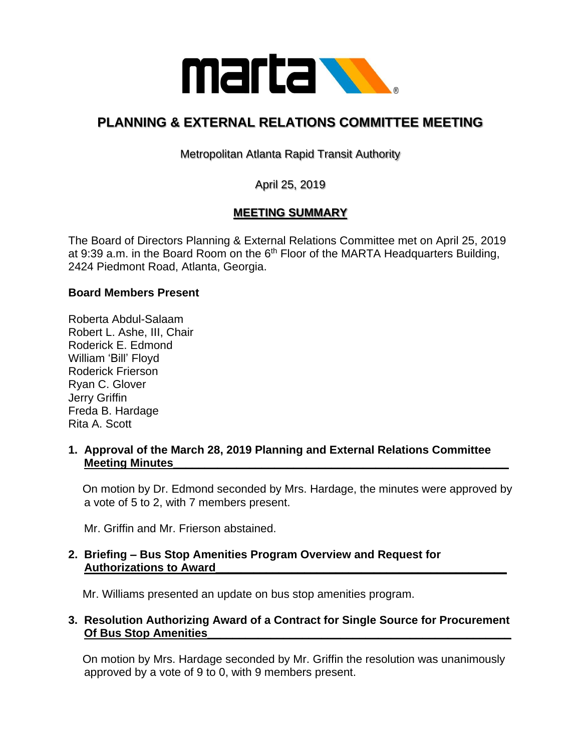

# **PLANNING & EXTERNAL RELATIONS COMMITTEE MEETING**

Metropolitan Atlanta Rapid Transit Authority

April 25, 2019

## **MEETING SUMMARY**

The Board of Directors Planning & External Relations Committee met on April 25, 2019 at 9:39 a.m. in the Board Room on the  $6<sup>th</sup>$  Floor of the MARTA Headquarters Building, 2424 Piedmont Road, Atlanta, Georgia.

#### **Board Members Present**

Roberta Abdul-Salaam Robert L. Ashe, III, Chair Roderick E. Edmond William 'Bill' Floyd Roderick Frierson Ryan C. Glover Jerry Griffin Freda B. Hardage Rita A. Scott

#### **1. Approval of the March 28, 2019 Planning and External Relations Committee Meeting Minutes**

 On motion by Dr. Edmond seconded by Mrs. Hardage, the minutes were approved by a vote of 5 to 2, with 7 members present.

Mr. Griffin and Mr. Frierson abstained.

#### **2. Briefing – Bus Stop Amenities Program Overview and Request for Authorizations to Award\_\_\_\_\_\_\_\_\_\_\_\_\_\_\_\_\_\_\_\_\_\_\_\_\_\_\_\_\_\_\_\_\_\_\_\_\_\_\_\_\_\_\_\_\_\_**

Mr. Williams presented an update on bus stop amenities program.

#### **3. Resolution Authorizing Award of a Contract for Single Source for Procurement Of Bus Stop Amenities\_\_\_\_\_\_\_\_\_\_\_\_\_\_\_\_\_\_\_\_\_\_\_\_\_\_\_\_\_\_\_\_\_\_\_\_\_\_\_\_\_\_\_\_\_\_\_\_**

On motion by Mrs. Hardage seconded by Mr. Griffin the resolution was unanimously approved by a vote of 9 to 0, with 9 members present.